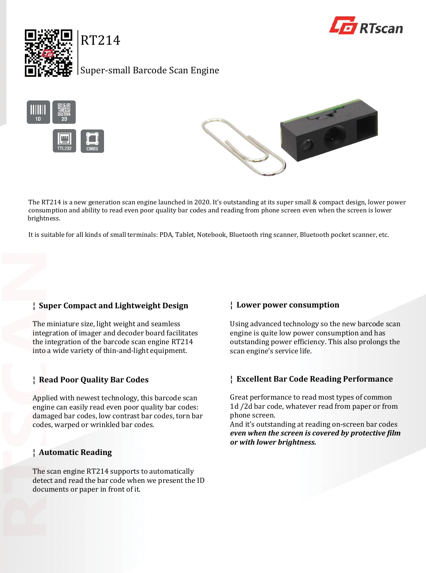



Super-small Barcode Scan Engine

RT214





The RT214 is a new generation scan engine launched in 2020. It's outstanding at its super small & compact design, lower power consumption and ability to read even poor quality bar codes and reading from phone screen even when the screen is lower brightness.

It is suitable for all kinds of small terminals: PDA, Tablet, Notebook, Bluetooth ring scanner, Bluetooth pocket scanner, etc.

# **¦ Super Compact and Lightweight Design**

The miniature size, light weight and seamless integration of imager and decoder board facilitates the integration of the barcode scan engine RT214 into a wide variety of thin-and-light equipment.

# **¦ Read Poor Quality Bar Codes**

Applied with newest technology, this barcode scan engine can easily read even poor quality bar codes: damaged bar codes, low contrast bar codes, torn bar codes, warped or wrinkled bar codes.

# **¦ Automatic Reading**

The scan engine RT214 supports to automatically detect and read the bar code when we present the ID documents or paper in front of it.

# **¦ Lower power consumption**

Using advanced technology so the new barcode scan engine is quite low power consumption and has outstanding power efficiency. This also prolongs the scan engine's service life.

# **¦ Excellent Bar Code Reading Performance**

Great performance to read most types of common 1d /2d bar code, whatever read from paper or from phone screen.

And it's outstanding at reading on-screen bar codes *even when the screen is covered by protective film or with lower brightness.*